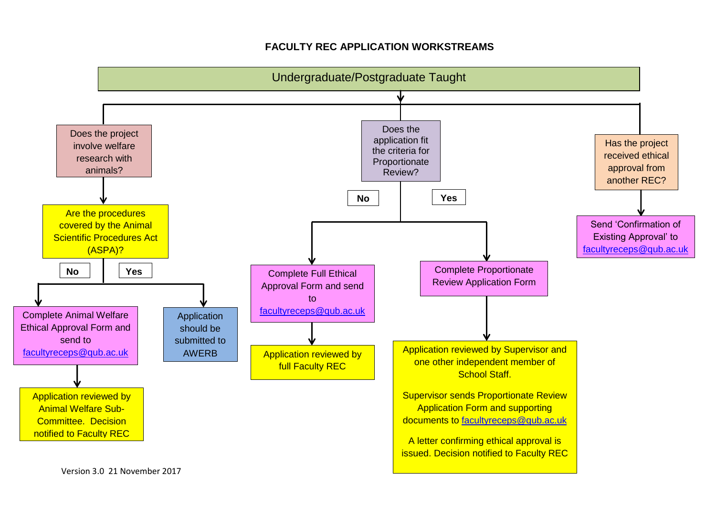## **FACULTY REC APPLICATION WORKSTREAMS**